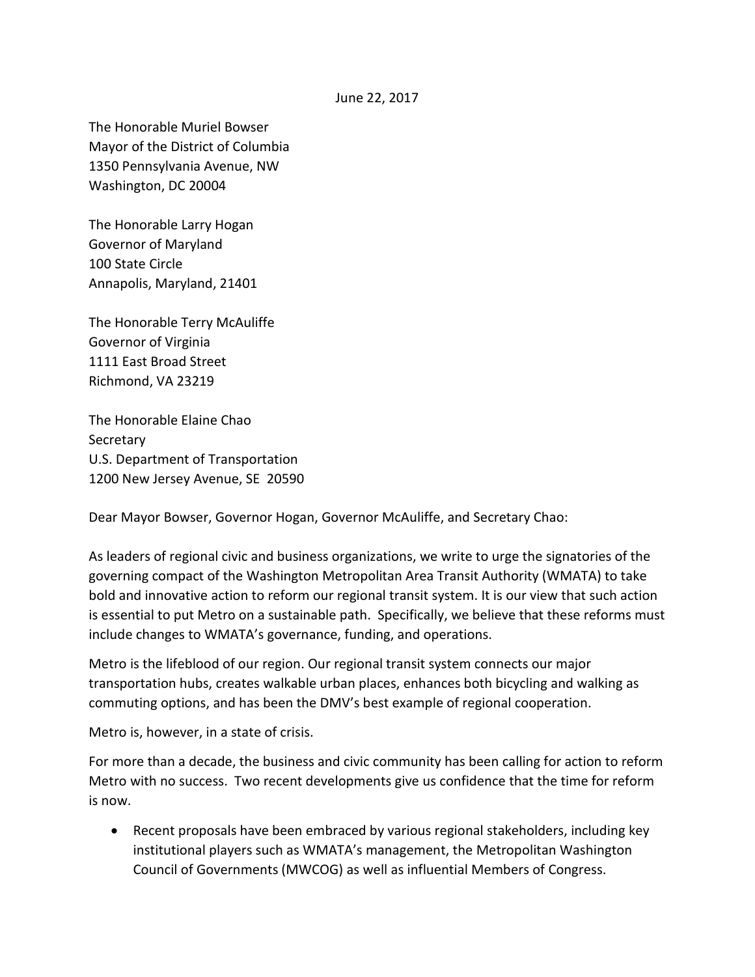## June 22, 2017

The Honorable Muriel Bowser Mayor of the District of Columbia 1350 Pennsylvania Avenue, NW Washington, DC 20004

The Honorable Larry Hogan Governor of Maryland 100 State Circle Annapolis, Maryland, 21401

The Honorable Terry McAuliffe Governor of Virginia 1111 East Broad Street Richmond, VA 23219

The Honorable Elaine Chao **Secretary** U.S. Department of Transportation 1200 New Jersey Avenue, SE 20590

Dear Mayor Bowser, Governor Hogan, Governor McAuliffe, and Secretary Chao:

As leaders of regional civic and business organizations, we write to urge the signatories of the governing compact of the Washington Metropolitan Area Transit Authority (WMATA) to take bold and innovative action to reform our regional transit system. It is our view that such action is essential to put Metro on a sustainable path. Specifically, we believe that these reforms must include changes to WMATA's governance, funding, and operations.

Metro is the lifeblood of our region. Our regional transit system connects our major transportation hubs, creates walkable urban places, enhances both bicycling and walking as commuting options, and has been the DMV's best example of regional cooperation.

Metro is, however, in a state of crisis.

For more than a decade, the business and civic community has been calling for action to reform Metro with no success. Two recent developments give us confidence that the time for reform is now.

• Recent proposals have been embraced by various regional stakeholders, including key institutional players such as WMATA's management, the Metropolitan Washington Council of Governments (MWCOG) as well as influential Members of Congress.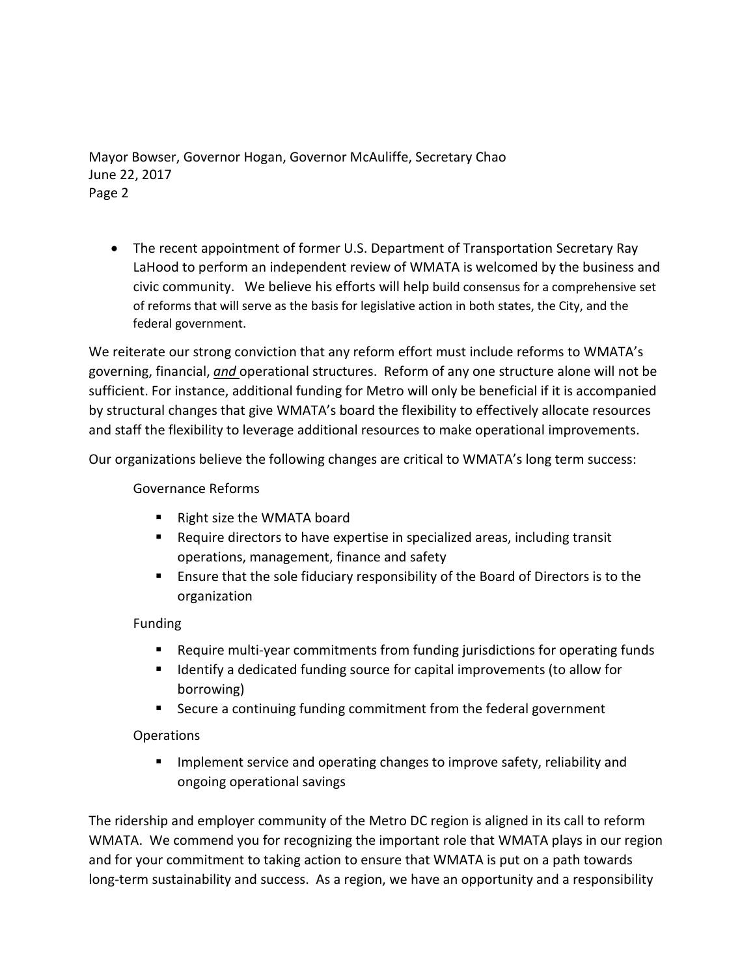Mayor Bowser, Governor Hogan, Governor McAuliffe, Secretary Chao June 22, 2017 Page 2

• The recent appointment of former U.S. Department of Transportation Secretary Ray LaHood to perform an independent review of WMATA is welcomed by the business and civic community. We believe his efforts will help build consensus for a comprehensive set of reforms that will serve as the basis for legislative action in both states, the City, and the federal government.

We reiterate our strong conviction that any reform effort must include reforms to WMATA's governing, financial, *and* operational structures. Reform of any one structure alone will not be sufficient. For instance, additional funding for Metro will only be beneficial if it is accompanied by structural changes that give WMATA's board the flexibility to effectively allocate resources and staff the flexibility to leverage additional resources to make operational improvements.

Our organizations believe the following changes are critical to WMATA's long term success:

Governance Reforms

- Right size the WMATA board
- Require directors to have expertise in specialized areas, including transit operations, management, finance and safety
- **Ensure that the sole fiduciary responsibility of the Board of Directors is to the** organization

Funding

- Require multi-year commitments from funding jurisdictions for operating funds
- **If all identify a dedicated funding source for capital improvements (to allow for** borrowing)
- Secure a continuing funding commitment from the federal government

## Operations

**IMPLEMENT IMPLE 19 IMPLE 2018 IMPLE 10** Improve safety, reliability and ongoing operational savings

The ridership and employer community of the Metro DC region is aligned in its call to reform WMATA. We commend you for recognizing the important role that WMATA plays in our region and for your commitment to taking action to ensure that WMATA is put on a path towards long-term sustainability and success. As a region, we have an opportunity and a responsibility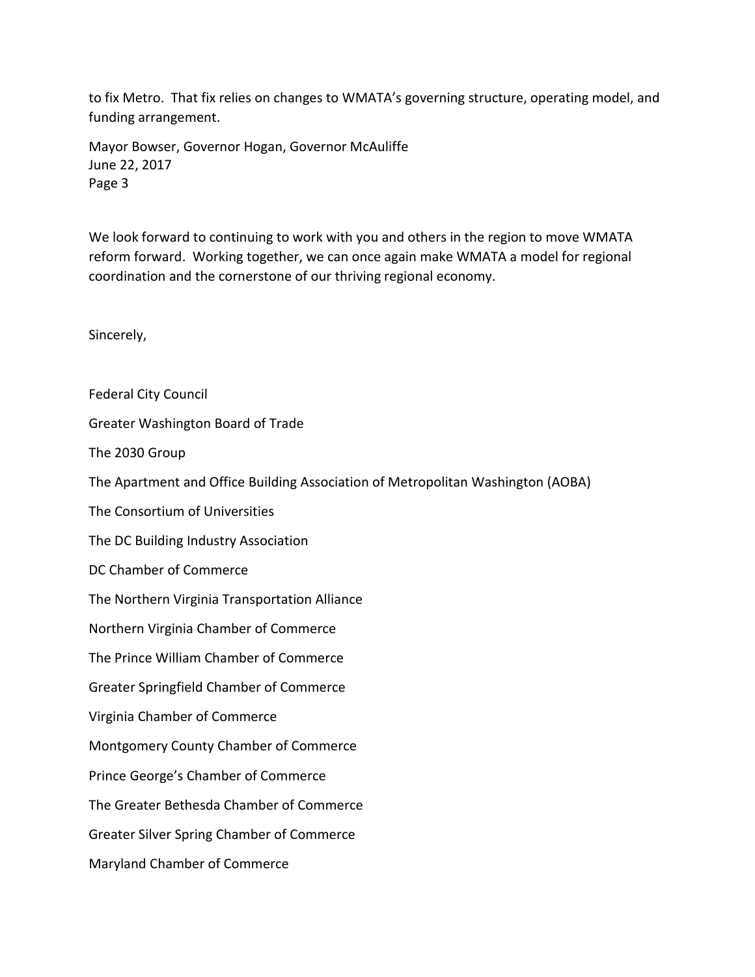to fix Metro. That fix relies on changes to WMATA's governing structure, operating model, and funding arrangement.

Mayor Bowser, Governor Hogan, Governor McAuliffe June 22, 2017 Page 3

We look forward to continuing to work with you and others in the region to move WMATA reform forward. Working together, we can once again make WMATA a model for regional coordination and the cornerstone of our thriving regional economy.

Sincerely,

Federal City Council

Greater Washington Board of Trade

The 2030 Group

The Apartment and Office Building Association of Metropolitan Washington (AOBA)

The Consortium of Universities

The DC Building Industry Association

DC Chamber of Commerce

The Northern Virginia Transportation Alliance

Northern Virginia Chamber of Commerce

The Prince William Chamber of Commerce

Greater Springfield Chamber of Commerce

Virginia Chamber of Commerce

Montgomery County Chamber of Commerce

Prince George's Chamber of Commerce

The Greater Bethesda Chamber of Commerce

Greater Silver Spring Chamber of Commerce

Maryland Chamber of Commerce